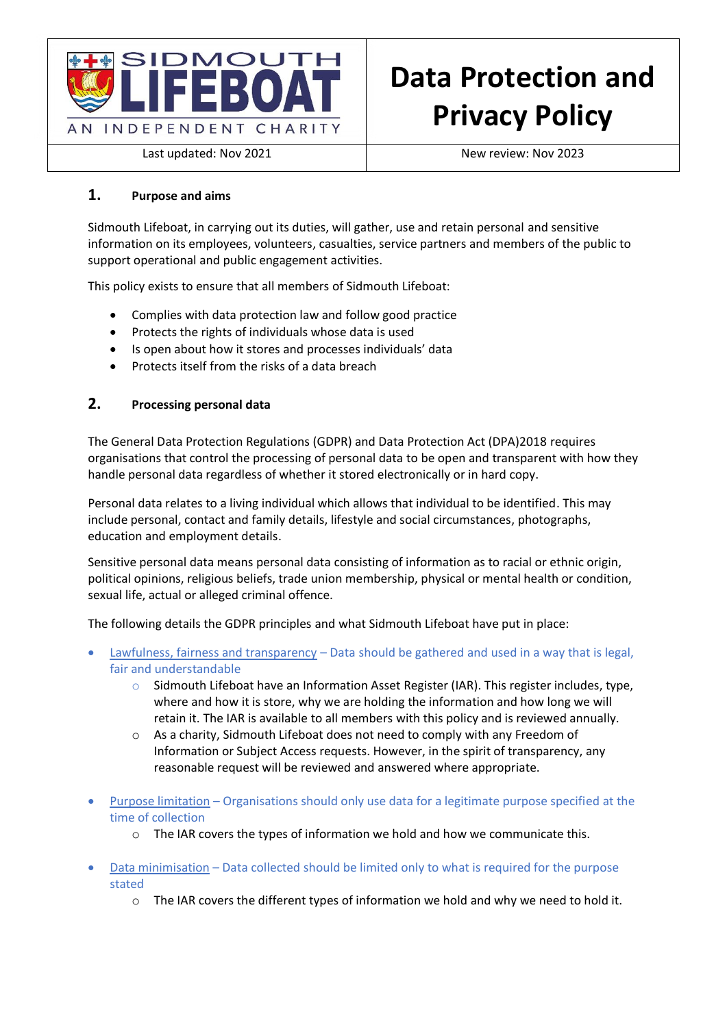

# **Data Protection and Privacy Policy**

Last updated: Nov 2021 New review: Nov 2023

# **1. Purpose and aims**

Sidmouth Lifeboat, in carrying out its duties, will gather, use and retain personal and sensitive information on its employees, volunteers, casualties, service partners and members of the public to support operational and public engagement activities.

This policy exists to ensure that all members of Sidmouth Lifeboat:

- Complies with data protection law and follow good practice
- Protects the rights of individuals whose data is used
- Is open about how it stores and processes individuals' data
- Protects itself from the risks of a data breach

# **2. Processing personal data**

The General Data Protection Regulations (GDPR) and Data Protection Act (DPA)2018 requires organisations that control the processing of personal data to be open and transparent with how they handle personal data regardless of whether it stored electronically or in hard copy.

Personal data relates to a living individual which allows that individual to be identified. This may include personal, contact and family details, lifestyle and social circumstances, photographs, education and employment details.

Sensitive personal data means personal data consisting of information as to racial or ethnic origin, political opinions, religious beliefs, trade union membership, physical or mental health or condition, sexual life, actual or alleged criminal offence.

The following details the GDPR principles and what Sidmouth Lifeboat have put in place:

- Lawfulness, fairness and transparency Data should be gathered and used in a way that is legal, fair and understandable
	- o Sidmouth Lifeboat have an Information Asset Register (IAR). This register includes, type, where and how it is store, why we are holding the information and how long we will retain it. The IAR is available to all members with this policy and is reviewed annually.
	- o As a charity, Sidmouth Lifeboat does not need to comply with any Freedom of Information or Subject Access requests. However, in the spirit of transparency, any reasonable request will be reviewed and answered where appropriate.
- Purpose limitation Organisations should only use data for a legitimate purpose specified at the time of collection
	- o The IAR covers the types of information we hold and how we communicate this.
- Data minimisation Data collected should be limited only to what is required for the purpose stated
	- o The IAR covers the different types of information we hold and why we need to hold it.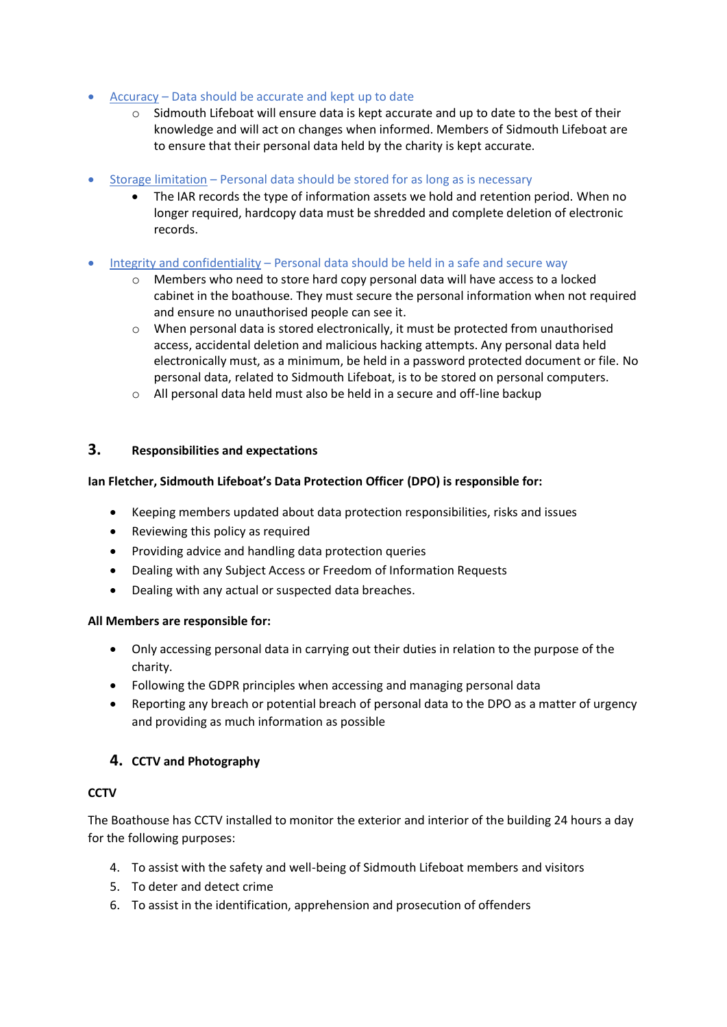- Accuracy Data should be accurate and kept up to date
	- o Sidmouth Lifeboat will ensure data is kept accurate and up to date to the best of their knowledge and will act on changes when informed. Members of Sidmouth Lifeboat are to ensure that their personal data held by the charity is kept accurate.
- Storage limitation Personal data should be stored for as long as is necessary
	- The IAR records the type of information assets we hold and retention period. When no longer required, hardcopy data must be shredded and complete deletion of electronic records.
- Integrity and confidentiality Personal data should be held in a safe and secure way
	- o Members who need to store hard copy personal data will have access to a locked cabinet in the boathouse. They must secure the personal information when not required and ensure no unauthorised people can see it.
	- $\circ$  When personal data is stored electronically, it must be protected from unauthorised access, accidental deletion and malicious hacking attempts. Any personal data held electronically must, as a minimum, be held in a password protected document or file. No personal data, related to Sidmouth Lifeboat, is to be stored on personal computers.
	- o All personal data held must also be held in a secure and off-line backup

#### **3. Responsibilities and expectations**

#### **Ian Fletcher, Sidmouth Lifeboat's Data Protection Officer (DPO) is responsible for:**

- Keeping members updated about data protection responsibilities, risks and issues
- Reviewing this policy as required
- Providing advice and handling data protection queries
- Dealing with any Subject Access or Freedom of Information Requests
- Dealing with any actual or suspected data breaches.

#### **All Members are responsible for:**

- Only accessing personal data in carrying out their duties in relation to the purpose of the charity.
- Following the GDPR principles when accessing and managing personal data
- Reporting any breach or potential breach of personal data to the DPO as a matter of urgency and providing as much information as possible

## **4. CCTV and Photography**

#### **CCTV**

The Boathouse has CCTV installed to monitor the exterior and interior of the building 24 hours a day for the following purposes:

- 4. To assist with the safety and well-being of Sidmouth Lifeboat members and visitors
- 5. To deter and detect crime
- 6. To assist in the identification, apprehension and prosecution of offenders